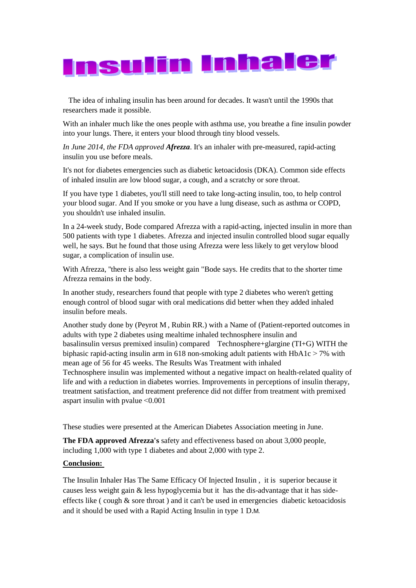

The idea of inhaling insulin has been around for decades. It wasn't until the 1990s that researchers made it possible.

With an inhaler much like the ones people with asthma use, you breathe a fine insulin powder into your lungs. There, it enters your blood through tiny blood vessels.

*In June 2014, the FDA approved Afrezza*. It's an inhaler with pre-measured, rapid-acting insulin you use before meals.

It's not for diabetes emergencies such as diabetic ketoacidosis (DKA). Common side effects of inhaled insulin are [low blood sugar,](http://www.webmd.com/diabetes/diabetes-hypoglycemia) a cough, and a scratchy or sore throat.

If you have [type 1 diabetes,](http://www.webmd.com/diabetes/ss/slideshow-type-1-diabetes-overview) you'll still need to take long-acting insulin, too, to help control your blood sugar. And If you smoke or you have a lung disease, such as [asthma](http://www.webmd.com/asthma/default.htm) or [COPD,](http://www.webmd.com/lung/copd/default.htm) you shouldn't use inhaled insulin.

In a 24-week study, Bode compared Afrezza with a rapid-acting, injected insulin in more than 500 patients with [type 1 diabetes.](http://www.webmd.com/diabetes/ss/slideshow-type-1-diabetes-overview) Afrezza and injected insulin controlled blood sugar equally well, he says. But he found that those using Afrezza were less likely to get ver[ylow blood](http://www.webmd.com/diabetes/diabetes-hypoglycemia)  [sugar,](http://www.webmd.com/diabetes/diabetes-hypoglycemia) a complication of insulin use.

With Afrezza, ''there is also less weight gain "Bode says. He credits that to the shorter time Afrezza remains in the body.

In another study, researchers found that people with type 2 diabetes who weren't getting enough control of [blood sugar](http://www.webmd.com/diabetes/blood-glucose) with oral medications did better when they added inhaled insulin before meals.

Another study done by [\(Peyrot M](http://www.ncbi.nlm.nih.gov/pubmed?term=Peyrot%20M%5BAuthor%5D&cauthor=true&cauthor_uid=21999640) , [Rubin RR.](http://www.ncbi.nlm.nih.gov/pubmed?term=Rubin%20RR%5BAuthor%5D&cauthor=true&cauthor_uid=21999640)) with a Name of (Patient-reported outcomes in adults with type 2 diabetes using mealtime inhaled technosphere insulin and basalinsulin versus premixed insulin) compared Technosphere+glargine (TI+G) WITH the biphasic rapid-acting insulin arm in 618 non-smoking adult patients with HbA1c < 7% with mean age of 56 for 45 weeks. The Results Was Treatment with inhaled

Technosphere insulin was implemented without a negative impact on health-related quality of life and with a reduction in diabetes worries. Improvements in perceptions of insulin therapy, treatment satisfaction, and treatment preference did not differ from treatment with premixed aspart insulin with pvalue  $\leq 0.001$ 

These studies were presented at the American Diabetes Association meeting in June.

**The FDA approved Afrezza's** safety and effectiveness based on about 3,000 people, including 1,000 with type 1 diabetes and about 2,000 with type 2.

## **Conclusion:**

The Insulin Inhaler Has The Same Efficacy Of Injected Insulin , it is superior because it causes less weight gain & less hypoglycemia but it has the dis-advantage that it has sideeffects like ( cough  $\&$  sore throat ) and it can't be used in emergencies diabetic ketoacidosis and it should be used with a Rapid Acting Insulin in type 1 D.M*.*